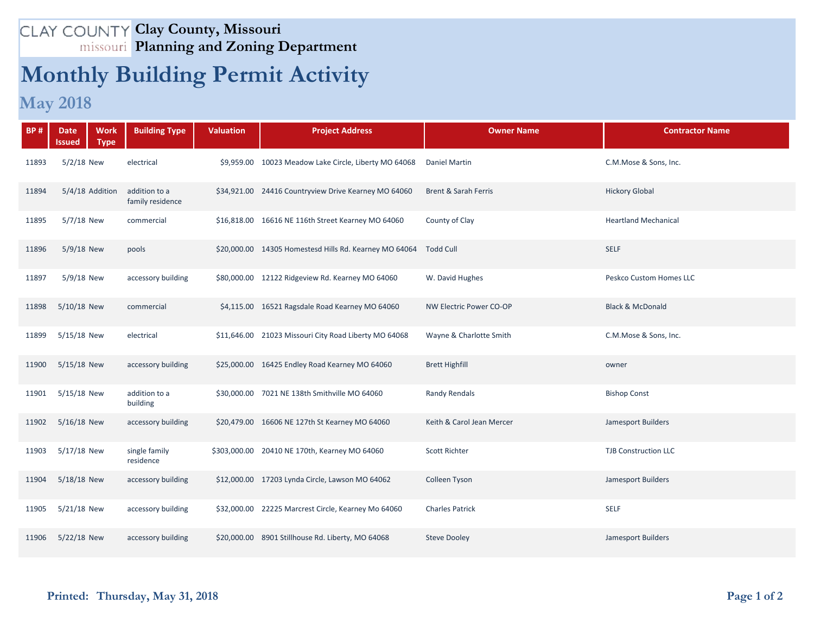## **Clay County, Missouri Planning and Zoning Department**

## **Monthly Building Permit Activity**

## **May 2018**

| <b>BP#</b> | <b>Work</b><br><b>Date</b><br><b>Type</b><br>Issued | <b>Building Type</b>              | <b>Valuation</b> | <b>Project Address</b>                                           | <b>Owner Name</b>               | <b>Contractor Name</b>      |
|------------|-----------------------------------------------------|-----------------------------------|------------------|------------------------------------------------------------------|---------------------------------|-----------------------------|
| 11893      | $5/2/18$ New                                        | electrical                        |                  | \$9,959.00 10023 Meadow Lake Circle, Liberty MO 64068            | <b>Daniel Martin</b>            | C.M.Mose & Sons, Inc.       |
| 11894      | 5/4/18 Addition                                     | addition to a<br>family residence |                  | \$34,921.00 24416 Countryview Drive Kearney MO 64060             | <b>Brent &amp; Sarah Ferris</b> | <b>Hickory Global</b>       |
| 11895      | 5/7/18 New                                          | commercial                        |                  | \$16,818.00 16616 NE 116th Street Kearney MO 64060               | County of Clay                  | <b>Heartland Mechanical</b> |
| 11896      | 5/9/18 New                                          | pools                             |                  | \$20,000.00 14305 Homestesd Hills Rd. Kearney MO 64064 Todd Cull |                                 | <b>SELF</b>                 |
| 11897      | 5/9/18 New                                          | accessory building                |                  | \$80,000.00 12122 Ridgeview Rd. Kearney MO 64060                 | W. David Hughes                 | Peskco Custom Homes LLC     |
| 11898      | 5/10/18 New                                         | commercial                        |                  | \$4,115.00 16521 Ragsdale Road Kearney MO 64060                  | NW Electric Power CO-OP         | <b>Black &amp; McDonald</b> |
| 11899      | 5/15/18 New                                         | electrical                        |                  | \$11,646.00 21023 Missouri City Road Liberty MO 64068            | Wayne & Charlotte Smith         | C.M.Mose & Sons, Inc.       |
| 11900      | 5/15/18 New                                         | accessory building                |                  | \$25,000.00 16425 Endley Road Kearney MO 64060                   | <b>Brett Highfill</b>           | owner                       |
| 11901      | 5/15/18 New                                         | addition to a<br>building         |                  | \$30,000.00 7021 NE 138th Smithville MO 64060                    | <b>Randy Rendals</b>            | <b>Bishop Const</b>         |
| 11902      | 5/16/18 New                                         | accessory building                |                  | \$20,479.00 16606 NE 127th St Kearney MO 64060                   | Keith & Carol Jean Mercer       | Jamesport Builders          |
| 11903      | 5/17/18 New                                         | single family<br>residence        |                  | \$303,000.00 20410 NE 170th, Kearney MO 64060                    | <b>Scott Richter</b>            | <b>TJB Construction LLC</b> |
| 11904      | 5/18/18 New                                         | accessory building                |                  | \$12,000.00 17203 Lynda Circle, Lawson MO 64062                  | Colleen Tyson                   | Jamesport Builders          |
| 11905      | 5/21/18 New                                         | accessory building                |                  | \$32,000.00 22225 Marcrest Circle, Kearney Mo 64060              | <b>Charles Patrick</b>          | <b>SELF</b>                 |
| 11906      | 5/22/18 New                                         | accessory building                |                  | \$20,000.00 8901 Stillhouse Rd. Liberty, MO 64068                | <b>Steve Dooley</b>             | Jamesport Builders          |